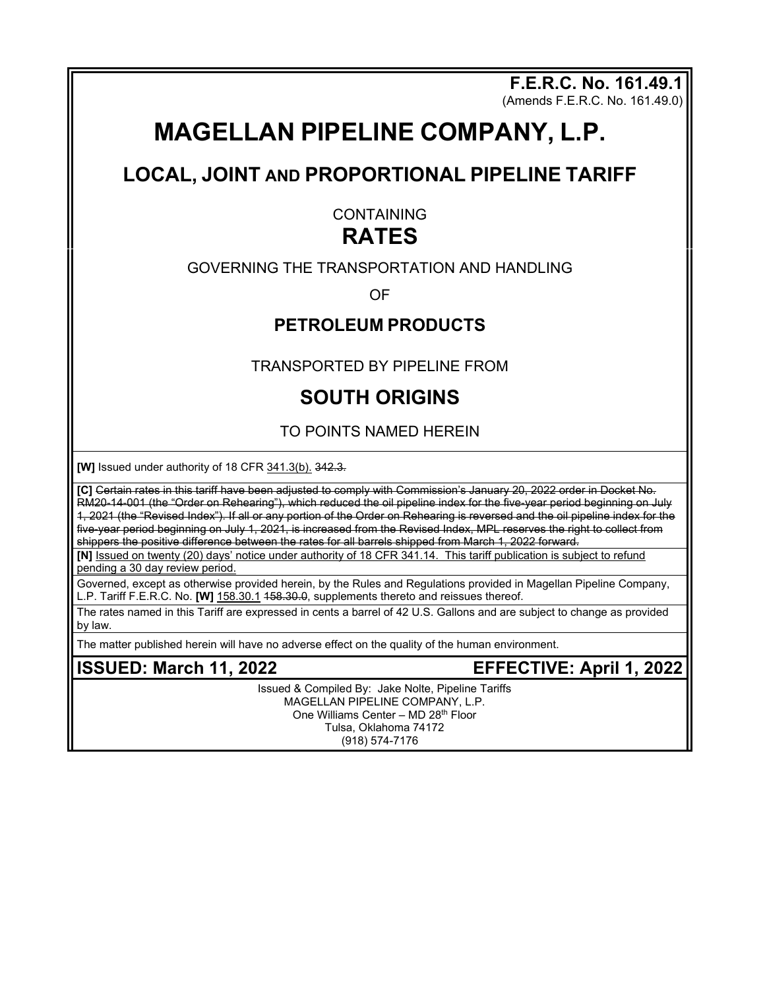**F.E.R.C. No. 161.49.1** (Amends F.E.R.C. No. 161.49.0)

# **MAGELLAN PIPELINE COMPANY, L.P.**

## **LOCAL, JOINT AND PROPORTIONAL PIPELINE TARIFF**

**CONTAINING** 

## **RATES**

### GOVERNING THE TRANSPORTATION AND HANDLING

OF

### **PETROLEUM PRODUCTS**

TRANSPORTED BY PIPELINE FROM

## **SOUTH ORIGINS**

TO POINTS NAMED HEREIN

**[W]** Issued under authority of 18 CFR 341.3(b). 342.3.

**[C]** Certain rates in this tariff have been adjusted to comply with Commission's January 20, 2022 order in Docket No. RM20-14-001 (the "Order on Rehearing"), which reduced the oil pipeline index for the five-year period beginning on July 1, 2021 (the "Revised Index"). If all or any portion of the Order on Rehearing is reversed and the oil pipeline index for the five year period beginning on July 1, 2021, is increased from the Revised Index, MPL reserves the right to collect from shippers the positive difference between the rates for all barrels shipped from March 1, 2022 forward.

**[N]** Issued on twenty (20) days' notice under authority of 18 CFR 341.14. This tariff publication is subject to refund pending a 30 day review period.

Governed, except as otherwise provided herein, by the Rules and Regulations provided in Magellan Pipeline Company, L.P. Tariff F.E.R.C. No. **[W]** 158.30.1 158.30.0, supplements thereto and reissues thereof.

The rates named in this Tariff are expressed in cents a barrel of 42 U.S. Gallons and are subject to change as provided by law.

The matter published herein will have no adverse effect on the quality of the human environment.

**ISSUED: March 11, 2022 EFFECTIVE: April 1, 2022** 

Issued & Compiled By: Jake Nolte, Pipeline Tariffs MAGELLAN PIPELINE COMPANY, L.P. One Williams Center - MD 28<sup>th</sup> Floor Tulsa, Oklahoma 74172 (918) 574-7176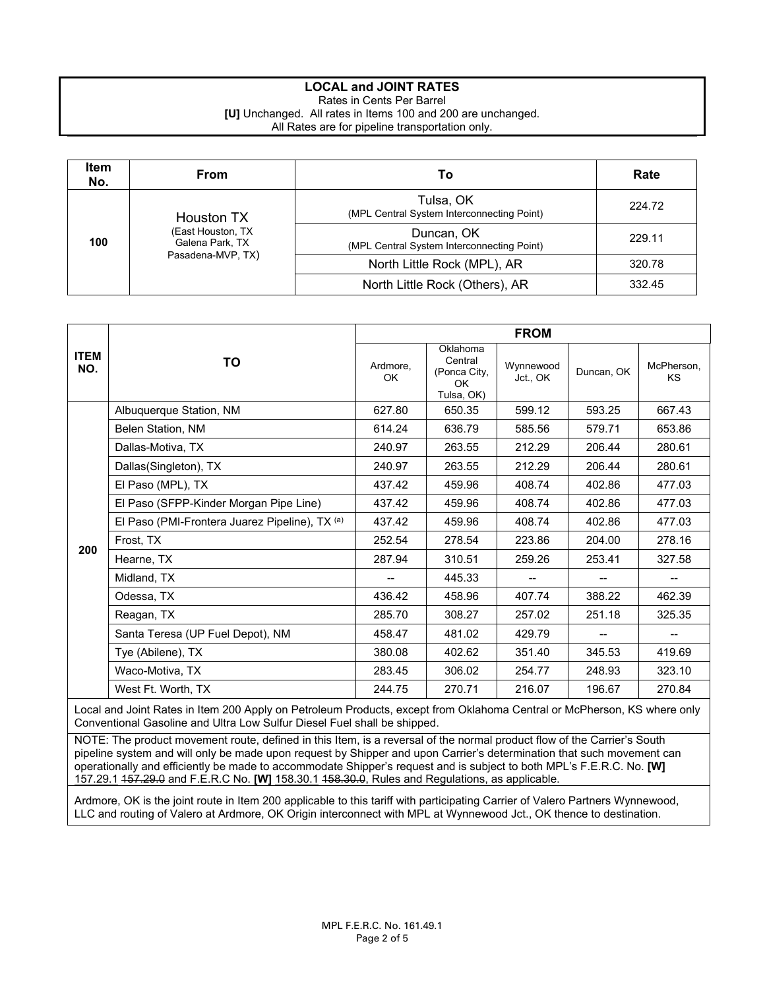#### **LOCAL and JOINT RATES**

Rates in Cents Per Barrel

**[U]** Unchanged. All rates in Items 100 and 200 are unchanged. All Rates are for pipeline transportation only.

| <b>Item</b><br>No. | From                                 | Т٥                                                       | Rate   |
|--------------------|--------------------------------------|----------------------------------------------------------|--------|
| 100                | <b>Houston TX</b>                    | Tulsa, OK<br>(MPL Central System Interconnecting Point)  | 224.72 |
|                    | (East Houston, TX<br>Galena Park, TX | Duncan, OK<br>(MPL Central System Interconnecting Point) | 229.11 |
|                    | Pasadena-MVP, TX)                    | North Little Rock (MPL), AR                              | 320.78 |
|                    |                                      | North Little Rock (Others), AR                           | 332.45 |

|                    |                                                                                                                                                                                                     | <b>FROM</b>    |                                                          |                       |            |                         |  |
|--------------------|-----------------------------------------------------------------------------------------------------------------------------------------------------------------------------------------------------|----------------|----------------------------------------------------------|-----------------------|------------|-------------------------|--|
| <b>ITEM</b><br>NO. | TO                                                                                                                                                                                                  | Ardmore,<br>OK | Oklahoma<br>Central<br>(Ponca City,<br>OK.<br>Tulsa, OK) | Wynnewood<br>Jct., OK | Duncan, OK | McPherson,<br><b>KS</b> |  |
|                    | Albuquerque Station, NM                                                                                                                                                                             | 627.80         | 650.35                                                   | 599.12                | 593.25     | 667.43                  |  |
|                    | <b>Belen Station, NM</b>                                                                                                                                                                            | 614.24         | 636.79                                                   | 585.56                | 579.71     | 653.86                  |  |
|                    | Dallas-Motiva, TX                                                                                                                                                                                   | 240.97         | 263.55                                                   | 212.29                | 206.44     | 280.61                  |  |
|                    | Dallas(Singleton), TX                                                                                                                                                                               | 240.97         | 263.55                                                   | 212.29                | 206.44     | 280.61                  |  |
|                    | El Paso (MPL), TX                                                                                                                                                                                   | 437.42         | 459.96                                                   | 408.74                | 402.86     | 477.03                  |  |
|                    | El Paso (SFPP-Kinder Morgan Pipe Line)                                                                                                                                                              | 437.42         | 459.96                                                   | 408.74                | 402.86     | 477.03                  |  |
|                    | El Paso (PMI-Frontera Juarez Pipeline), TX <sup>(a)</sup>                                                                                                                                           | 437.42         | 459.96                                                   | 408.74                | 402.86     | 477.03                  |  |
| 200                | Frost. TX                                                                                                                                                                                           | 252.54         | 278.54                                                   | 223.86                | 204.00     | 278.16                  |  |
|                    | Hearne, TX                                                                                                                                                                                          | 287.94         | 310.51                                                   | 259.26                | 253.41     | 327.58                  |  |
|                    | Midland, TX                                                                                                                                                                                         |                | 445.33                                                   |                       |            |                         |  |
|                    | Odessa, TX                                                                                                                                                                                          | 436.42         | 458.96                                                   | 407.74                | 388.22     | 462.39                  |  |
|                    | Reagan, TX                                                                                                                                                                                          | 285.70         | 308.27                                                   | 257.02                | 251.18     | 325.35                  |  |
|                    | Santa Teresa (UP Fuel Depot), NM                                                                                                                                                                    | 458.47         | 481.02                                                   | 429.79                |            |                         |  |
|                    | Tye (Abilene), TX                                                                                                                                                                                   | 380.08         | 402.62                                                   | 351.40                | 345.53     | 419.69                  |  |
|                    | Waco-Motiva, TX                                                                                                                                                                                     | 283.45         | 306.02                                                   | 254.77                | 248.93     | 323.10                  |  |
|                    | West Ft. Worth, TX                                                                                                                                                                                  | 244.75         | 270.71                                                   | 216.07                | 196.67     | 270.84                  |  |
|                    | Local and Joint Rates in Item 200 Apply on Petroleum Products, except from Oklahoma Central or McPherson, KS where only<br>Conventional Gasoline and Ultra Low Sulfur Diesel Fuel shall be shipped. |                |                                                          |                       |            |                         |  |

NOTE: The product movement route, defined in this Item, is a reversal of the normal product flow of the Carrier's South pipeline system and will only be made upon request by Shipper and upon Carrier's determination that such movement can operationally and efficiently be made to accommodate Shipper's request and is subject to both MPL's F.E.R.C. No. **[W]**  157.29.1 157.29.0 and F.E.R.C No. **[W]** 158.30.1 158.30.0, Rules and Regulations, as applicable.

Ardmore, OK is the joint route in Item 200 applicable to this tariff with participating Carrier of Valero Partners Wynnewood, LLC and routing of Valero at Ardmore, OK Origin interconnect with MPL at Wynnewood Jct., OK thence to destination.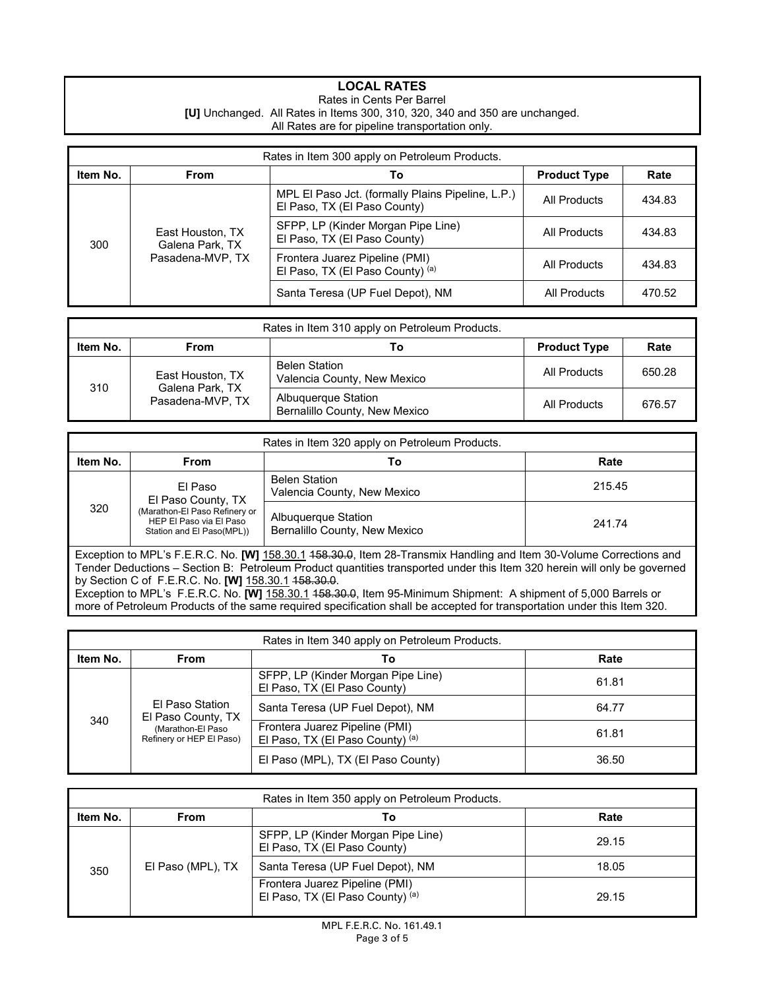#### **LOCAL RATES**

#### Rates in Cents Per Barrel **[U]** Unchanged. All Rates in Items 300, 310, 320, 340 and 350 are unchanged. All Rates are for pipeline transportation only.

| Rates in Item 300 apply on Petroleum Products. |                                     |                                                                                   |                     |        |  |  |
|------------------------------------------------|-------------------------------------|-----------------------------------------------------------------------------------|---------------------|--------|--|--|
| Item No.                                       | <b>From</b>                         | То                                                                                | <b>Product Type</b> | Rate   |  |  |
| 300                                            |                                     | MPL El Paso Jct. (formally Plains Pipeline, L.P.)<br>El Paso, TX (El Paso County) | All Products        | 434.83 |  |  |
|                                                | East Houston, TX<br>Galena Park, TX | SFPP, LP (Kinder Morgan Pipe Line)<br>El Paso, TX (El Paso County)                | All Products        | 434.83 |  |  |
|                                                | Pasadena-MVP, TX                    | Frontera Juarez Pipeline (PMI)<br>El Paso, TX (El Paso County) <sup>(a)</sup>     | All Products        | 434.83 |  |  |
|                                                |                                     | Santa Teresa (UP Fuel Depot), NM                                                  | All Products        | 470.52 |  |  |

| Rates in Item 310 apply on Petroleum Products. |                                     |                                                      |                     |        |  |  |
|------------------------------------------------|-------------------------------------|------------------------------------------------------|---------------------|--------|--|--|
| Item No.                                       | From                                | Т٥                                                   | <b>Product Type</b> | Rate   |  |  |
|                                                | East Houston, TX                    | <b>Belen Station</b><br>Valencia County, New Mexico  | All Products        | 650.28 |  |  |
| 310                                            | Galena Park, TX<br>Pasadena-MVP. TX | Albuquerque Station<br>Bernalillo County, New Mexico | All Products        | 676.57 |  |  |

| Rates in Item 320 apply on Petroleum Products.                                                                                                                                                                                                                                                         |                                                                                       |                                                                                                                  |        |  |  |
|--------------------------------------------------------------------------------------------------------------------------------------------------------------------------------------------------------------------------------------------------------------------------------------------------------|---------------------------------------------------------------------------------------|------------------------------------------------------------------------------------------------------------------|--------|--|--|
| Item No.                                                                                                                                                                                                                                                                                               | From                                                                                  | Τo                                                                                                               | Rate   |  |  |
|                                                                                                                                                                                                                                                                                                        | El Paso<br>El Paso County, TX                                                         | <b>Belen Station</b><br>Valencia County, New Mexico                                                              | 215.45 |  |  |
| 320                                                                                                                                                                                                                                                                                                    | (Marathon-El Paso Refinery or<br>HEP El Paso via El Paso<br>Station and El Paso(MPL)) | Albuquerque Station<br>Bernalillo County, New Mexico                                                             | 241.74 |  |  |
| Exception to MPL's F.E.R.C. No. [W] 158.30.1 458.30.0, Item 28-Transmix Handling and Item 30-Volume Corrections and<br>Tender Deductions – Section B: Petroleum Product quantities transported under this Item 320 herein will only be governed<br>by Section C of F.E.R.C. No. [W] 158.30.1 158.30.0. |                                                                                       |                                                                                                                  |        |  |  |
|                                                                                                                                                                                                                                                                                                        |                                                                                       | Exception to MPL's EERC No <b>IW1</b> 158 30.1 158 30.0 Item 95 Minimum Shinment: A shinment of 5,000 Barrels or |        |  |  |

Exception to MPL's F.E.R.C. No. **[W]** 158.30.1 158.30.0, Item 95-Minimum Shipment: A shipment of 5,000 Barrels or more of Petroleum Products of the same required specification shall be accepted for transportation under this Item 320.

| Rates in Item 340 apply on Petroleum Products. |                                               |                                                                    |       |  |
|------------------------------------------------|-----------------------------------------------|--------------------------------------------------------------------|-------|--|
| Item No.                                       | From                                          | Т٥                                                                 | Rate  |  |
| 340                                            |                                               | SFPP, LP (Kinder Morgan Pipe Line)<br>El Paso, TX (El Paso County) | 61.81 |  |
|                                                | El Paso Station<br>El Paso County, TX         | Santa Teresa (UP Fuel Depot), NM                                   | 64.77 |  |
|                                                | (Marathon-El Paso<br>Refinery or HEP El Paso) | Frontera Juarez Pipeline (PMI)<br>El Paso, TX (El Paso County) (a) | 61.81 |  |
|                                                |                                               | El Paso (MPL), TX (El Paso County)                                 | 36.50 |  |

| Rates in Item 350 apply on Petroleum Products. |                   |                                                                    |       |  |
|------------------------------------------------|-------------------|--------------------------------------------------------------------|-------|--|
| Item No.<br>Rate<br>From<br>Т٥                 |                   |                                                                    |       |  |
|                                                |                   | SFPP, LP (Kinder Morgan Pipe Line)<br>El Paso, TX (El Paso County) | 29.15 |  |
| 350                                            | El Paso (MPL), TX | Santa Teresa (UP Fuel Depot), NM                                   | 18.05 |  |
|                                                |                   | Frontera Juarez Pipeline (PMI)<br>El Paso, TX (El Paso County) (a) | 29.15 |  |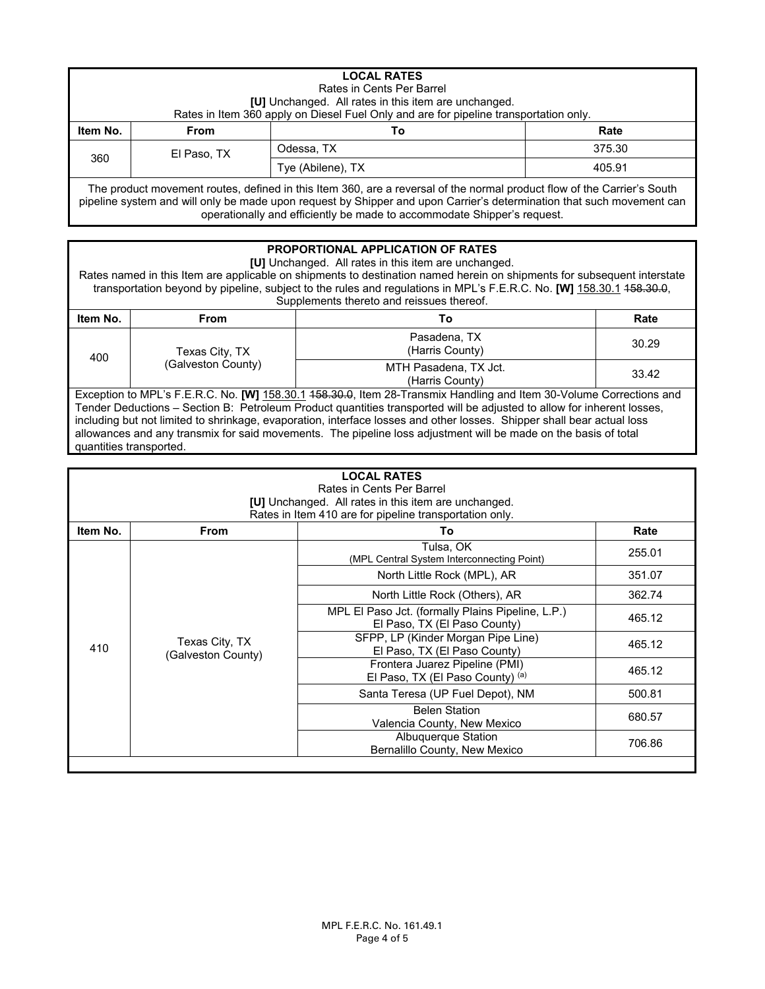|                                                                                                                                                                                                                                                  | <b>LOCAL RATES</b><br>Rates in Cents Per Barrel<br><b>[U]</b> Unchanged. All rates in this item are unchanged.<br>Rates in Item 360 apply on Diesel Fuel Only and are for pipeline transportation only. |            |        |  |  |
|--------------------------------------------------------------------------------------------------------------------------------------------------------------------------------------------------------------------------------------------------|---------------------------------------------------------------------------------------------------------------------------------------------------------------------------------------------------------|------------|--------|--|--|
| Item No.                                                                                                                                                                                                                                         | <b>From</b>                                                                                                                                                                                             | Т٥         | Rate   |  |  |
|                                                                                                                                                                                                                                                  | El Paso, TX                                                                                                                                                                                             | Odessa, TX | 375.30 |  |  |
|                                                                                                                                                                                                                                                  | 360<br>405.91<br>Tye (Abilene), TX                                                                                                                                                                      |            |        |  |  |
| The product movement routes, defined in this Item 360, are a reversal of the normal product flow of the Carrier's South<br>pipeline system and will only be made upon request by Shipper and upon Carrier's determination that such movement can |                                                                                                                                                                                                         |            |        |  |  |

operationally and efficiently be made to accommodate Shipper's request.

#### **PROPORTIONAL APPLICATION OF RATES**

**[U]** Unchanged. All rates in this item are unchanged.

Rates named in this Item are applicable on shipments to destination named herein on shipments for subsequent interstate transportation beyond by pipeline, subject to the rules and regulations in MPL's F.E.R.C. No. **[W]** 158.30.1 158.30.0, Supplements thereto and reissues thereof.

| Item No. | From               | Т٥                                       | Rate  |
|----------|--------------------|------------------------------------------|-------|
| 400      | Texas City, TX     | Pasadena, TX<br>(Harris County)          | 30.29 |
|          | (Galveston County) | MTH Pasadena, TX Jct.<br>(Harris County) | 33.42 |

Exception to MPL's F.E.R.C. No. **[W]** 158.30.1 4<del>58.30.0</del>, Item 28-Transmix Handling and Item 30-Volume Corrections and Tender Deductions – Section B: Petroleum Product quantities transported will be adjusted to allow for inherent losses, including but not limited to shrinkage, evaporation, interface losses and other losses. Shipper shall bear actual loss allowances and any transmix for said movements. The pipeline loss adjustment will be made on the basis of total quantities transported.

| <b>LOCAL RATES</b><br>Rates in Cents Per Barrel<br><b>[U]</b> Unchanged. All rates in this item are unchanged.<br>Rates in Item 410 are for pipeline transportation only. |                                      |                                                                                   |                  |  |  |
|---------------------------------------------------------------------------------------------------------------------------------------------------------------------------|--------------------------------------|-----------------------------------------------------------------------------------|------------------|--|--|
| Item No.                                                                                                                                                                  | <b>From</b>                          | To                                                                                | Rate             |  |  |
|                                                                                                                                                                           |                                      | Tulsa, OK<br>(MPL Central System Interconnecting Point)                           | 255.01           |  |  |
|                                                                                                                                                                           |                                      | North Little Rock (MPL), AR                                                       | 351.07           |  |  |
|                                                                                                                                                                           |                                      | North Little Rock (Others), AR                                                    | 362.74           |  |  |
|                                                                                                                                                                           |                                      | MPL El Paso Jct. (formally Plains Pipeline, L.P.)<br>El Paso, TX (El Paso County) | 465.12<br>465.12 |  |  |
| 410                                                                                                                                                                       | Texas City, TX<br>(Galveston County) | SFPP, LP (Kinder Morgan Pipe Line)<br>El Paso, TX (El Paso County)                |                  |  |  |
|                                                                                                                                                                           |                                      | Frontera Juarez Pipeline (PMI)<br>El Paso, TX (El Paso County) (a)                | 465.12           |  |  |
|                                                                                                                                                                           |                                      | Santa Teresa (UP Fuel Depot), NM                                                  | 500.81           |  |  |
|                                                                                                                                                                           |                                      | <b>Belen Station</b><br>Valencia County, New Mexico                               | 680.57           |  |  |
|                                                                                                                                                                           |                                      | Albuquerque Station<br>Bernalillo County, New Mexico                              | 706.86           |  |  |